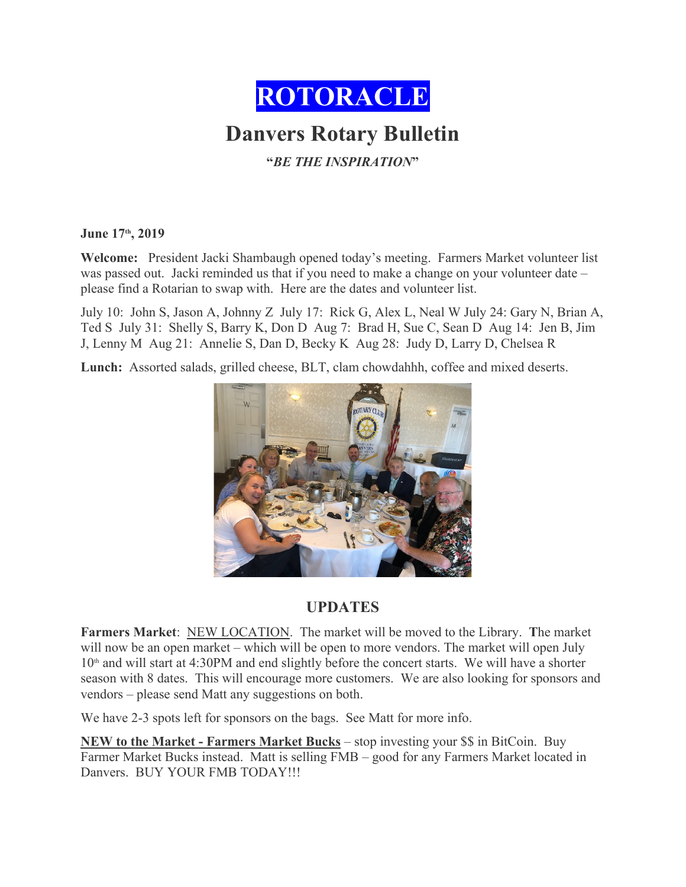

**June 17th, 2019**

**Welcome:** President Jacki Shambaugh opened today's meeting. Farmers Market volunteer list was passed out. Jacki reminded us that if you need to make a change on your volunteer date – please find a Rotarian to swap with. Here are the dates and volunteer list.

July 10: John S, Jason A, Johnny Z July 17: Rick G, Alex L, Neal W July 24: Gary N, Brian A, Ted S July 31: Shelly S, Barry K, Don D Aug 7: Brad H, Sue C, Sean D Aug 14: Jen B, Jim J, Lenny M Aug 21: Annelie S, Dan D, Becky K Aug 28: Judy D, Larry D, Chelsea R

**Lunch:** Assorted salads, grilled cheese, BLT, clam chowdahhh, coffee and mixed deserts.



## **UPDATES**

**Farmers Market**: NEW LOCATION. The market will be moved to the Library. **T**he market will now be an open market – which will be open to more vendors. The market will open July  $10<sup>th</sup>$  and will start at 4:30PM and end slightly before the concert starts. We will have a shorter season with 8 dates. This will encourage more customers. We are also looking for sponsors and vendors – please send Matt any suggestions on both.

We have 2-3 spots left for sponsors on the bags. See Matt for more info.

**NEW to the Market - Farmers Market Bucks** – stop investing your \$\$ in BitCoin. Buy Farmer Market Bucks instead. Matt is selling FMB – good for any Farmers Market located in Danvers. BUY YOUR FMB TODAY!!!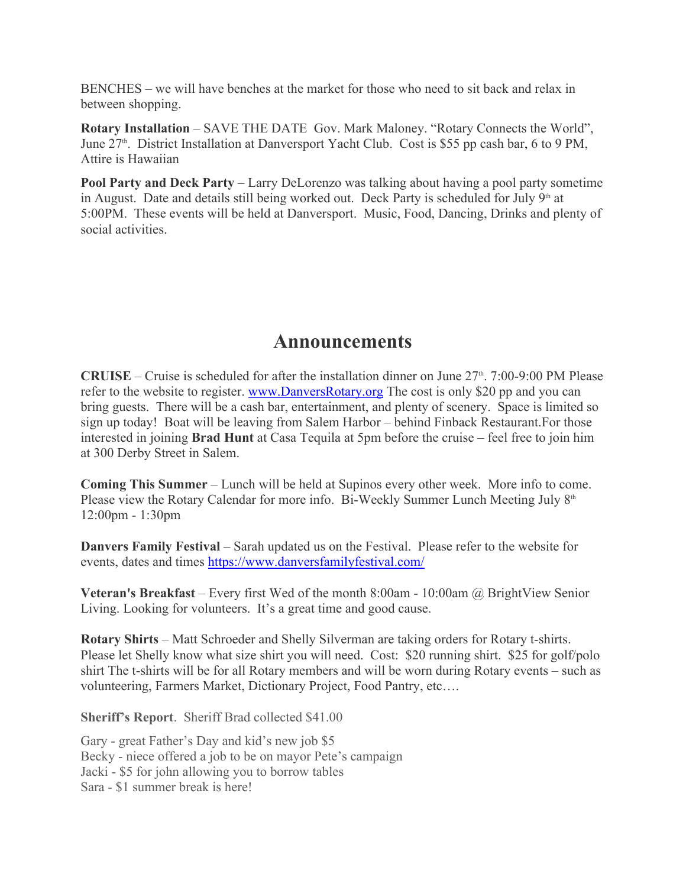BENCHES – we will have benches at the market for those who need to sit back and relax in between shopping.

**Rotary Installation** – SAVE THE DATE Gov. Mark Maloney. "Rotary Connects the World", June 27<sup>th</sup>. District Installation at Danversport Yacht Club. Cost is \$55 pp cash bar, 6 to 9 PM, Attire is Hawaiian

**Pool Party and Deck Party** – Larry DeLorenzo was talking about having a pool party sometime in August. Date and details still being worked out. Deck Party is scheduled for July  $9<sup>th</sup>$  at 5:00PM. These events will be held at Danversport. Music, Food, Dancing, Drinks and plenty of social activities.

## **Announcements**

**CRUISE** – Cruise is scheduled for after the installation dinner on June  $27<sup>th</sup>$ . 7:00-9:00 PM Please refer to the website to register. www.DanversRotary.org The cost is only \$20 pp and you can bring guests. There will be a cash bar, entertainment, and plenty of scenery. Space is limited so sign up today! Boat will be leaving from Salem Harbor – behind Finback Restaurant.For those interested in joining **Brad Hunt** at Casa Tequila at 5pm before the cruise – feel free to join him at 300 Derby Street in Salem.

**Coming This Summer** – Lunch will be held at Supinos every other week. More info to come. Please view the Rotary Calendar for more info. Bi-Weekly Summer Lunch Meeting July 8<sup>th</sup> 12:00pm - 1:30pm

**Danvers Family Festival** – Sarah updated us on the Festival. Please refer to the website for events, dates and times https://www.danversfamilyfestival.com/

**Veteran's Breakfast** – Every first Wed of the month 8:00am - 10:00am @ BrightView Senior Living. Looking for volunteers. It's a great time and good cause.

**Rotary Shirts** – Matt Schroeder and Shelly Silverman are taking orders for Rotary t-shirts. Please let Shelly know what size shirt you will need. Cost: \$20 running shirt. \$25 for golf/polo shirt The t-shirts will be for all Rotary members and will be worn during Rotary events – such as volunteering, Farmers Market, Dictionary Project, Food Pantry, etc….

**Sheriff's Report**. Sheriff Brad collected \$41.00

Gary - great Father's Day and kid's new job \$5 Becky - niece offered a job to be on mayor Pete's campaign Jacki - \$5 for john allowing you to borrow tables Sara - \$1 summer break is here!